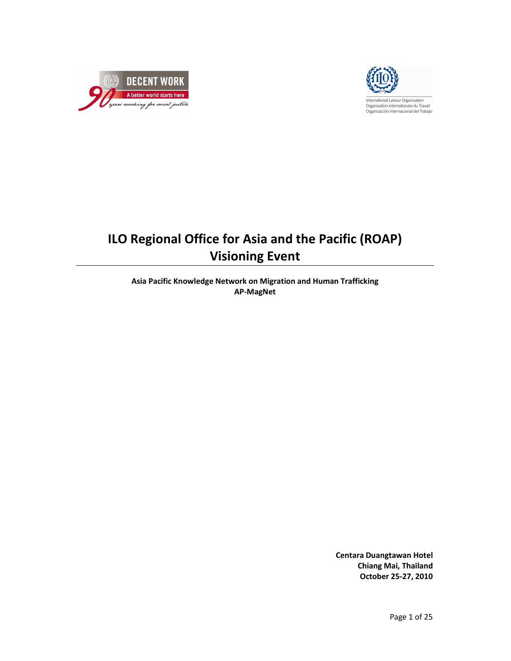



# ILO Regional Office for Asia and the Pacific (ROAP) Visioning Event

Asia Pacific Knowledge Network on Migration and Human Trafficking AP-MagNet

> Centara Duangtawan Hotel Chiang Mai, Thailand October 25-27, 2010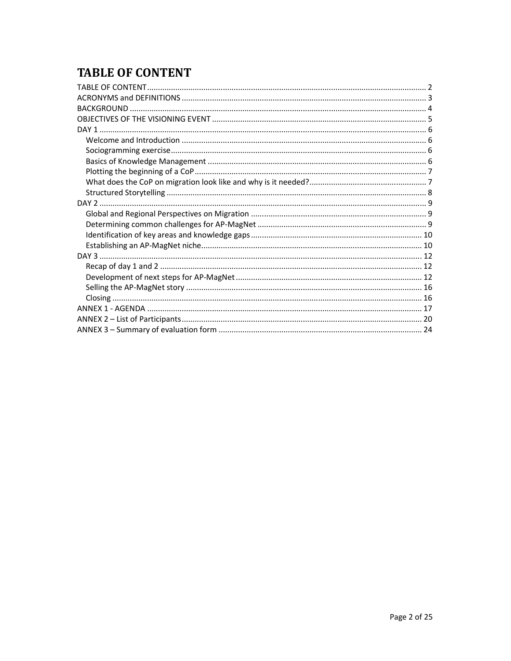## **TABLE OF CONTENT**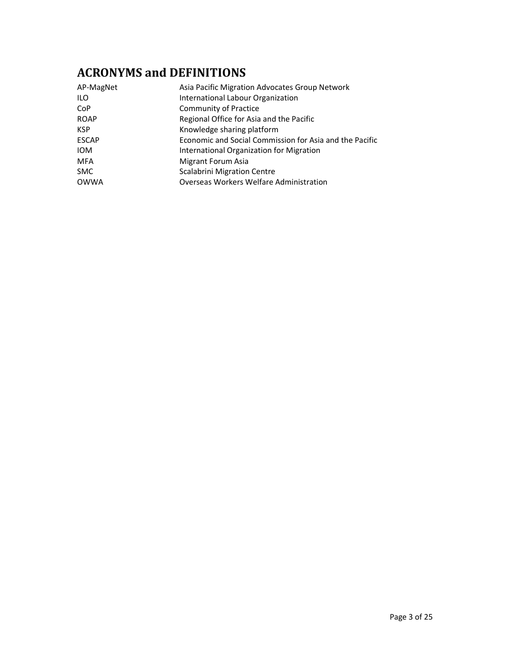## ACRONYMS and DEFINITIONS

| AP-MagNet    | Asia Pacific Migration Advocates Group Network          |
|--------------|---------------------------------------------------------|
| ILO.         | International Labour Organization                       |
| <b>CoP</b>   | <b>Community of Practice</b>                            |
| <b>ROAP</b>  | Regional Office for Asia and the Pacific                |
| <b>KSP</b>   | Knowledge sharing platform                              |
| <b>ESCAP</b> | Economic and Social Commission for Asia and the Pacific |
| <b>IOM</b>   | International Organization for Migration                |
| <b>MFA</b>   | Migrant Forum Asia                                      |
| <b>SMC</b>   | <b>Scalabrini Migration Centre</b>                      |
| <b>OWWA</b>  | Overseas Workers Welfare Administration                 |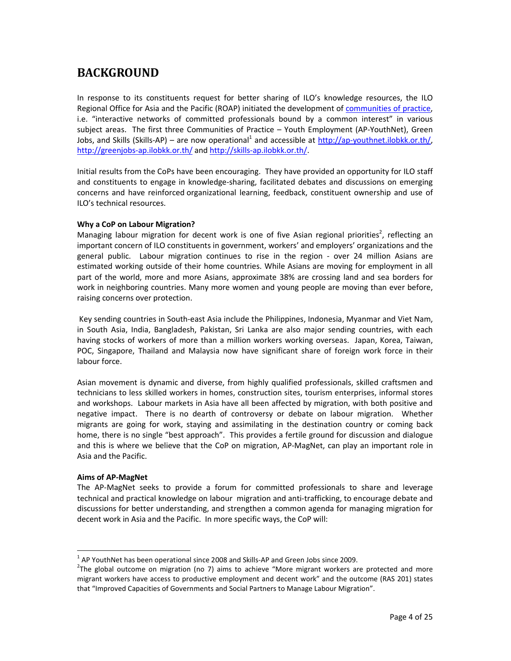## BACKGROUND

In response to its constituents request for better sharing of ILO's knowledge resources, the ILO Regional Office for Asia and the Pacific (ROAP) initiated the development of communities of practice, i.e. "interactive networks of committed professionals bound by a common interest" in various subject areas. The first three Communities of Practice – Youth Employment (AP-YouthNet), Green Jobs, and Skills (Skills-AP) – are now operational<sup>1</sup> and accessible at http://ap-youthnet.ilobkk.or.th/, http://greenjobs-ap.ilobkk.or.th/ and http://skills-ap.ilobkk.or.th/.

Initial results from the CoPs have been encouraging. They have provided an opportunity for ILO staff and constituents to engage in knowledge-sharing, facilitated debates and discussions on emerging concerns and have reinforced organizational learning, feedback, constituent ownership and use of ILO's technical resources.

#### Why a CoP on Labour Migration?

Managing labour migration for decent work is one of five Asian regional priorities<sup>2</sup>, reflecting an important concern of ILO constituents in government, workers' and employers' organizations and the general public. Labour migration continues to rise in the region - over 24 million Asians are estimated working outside of their home countries. While Asians are moving for employment in all part of the world, more and more Asians, approximate 38% are crossing land and sea borders for work in neighboring countries. Many more women and young people are moving than ever before, raising concerns over protection.

 Key sending countries in South-east Asia include the Philippines, Indonesia, Myanmar and Viet Nam, in South Asia, India, Bangladesh, Pakistan, Sri Lanka are also major sending countries, with each having stocks of workers of more than a million workers working overseas. Japan, Korea, Taiwan, POC, Singapore, Thailand and Malaysia now have significant share of foreign work force in their labour force.

Asian movement is dynamic and diverse, from highly qualified professionals, skilled craftsmen and technicians to less skilled workers in homes, construction sites, tourism enterprises, informal stores and workshops. Labour markets in Asia have all been affected by migration, with both positive and negative impact. There is no dearth of controversy or debate on labour migration. Whether migrants are going for work, staying and assimilating in the destination country or coming back home, there is no single "best approach". This provides a fertile ground for discussion and dialogue and this is where we believe that the CoP on migration, AP-MagNet, can play an important role in Asia and the Pacific.

#### Aims of AP-MagNet

l,

The AP-MagNet seeks to provide a forum for committed professionals to share and leverage technical and practical knowledge on labour migration and anti-trafficking, to encourage debate and discussions for better understanding, and strengthen a common agenda for managing migration for decent work in Asia and the Pacific. In more specific ways, the CoP will:

 $<sup>1</sup>$  AP YouthNet has been operational since 2008 and Skills-AP and Green Jobs since 2009.</sup>

 $2$ The global outcome on migration (no 7) aims to achieve "More migrant workers are protected and more migrant workers have access to productive employment and decent work" and the outcome (RAS 201) states that "Improved Capacities of Governments and Social Partners to Manage Labour Migration".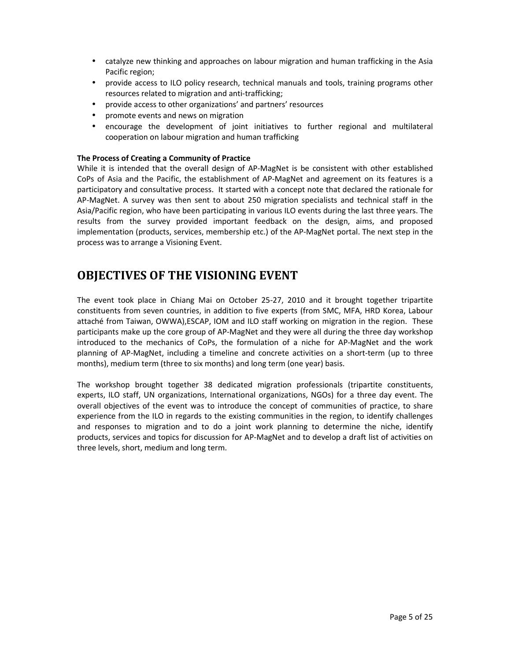- catalyze new thinking and approaches on labour migration and human trafficking in the Asia Pacific region;
- provide access to ILO policy research, technical manuals and tools, training programs other resources related to migration and anti-trafficking;
- provide access to other organizations' and partners' resources
- promote events and news on migration
- encourage the development of joint initiatives to further regional and multilateral cooperation on labour migration and human trafficking

#### The Process of Creating a Community of Practice

While it is intended that the overall design of AP-MagNet is be consistent with other established CoPs of Asia and the Pacific, the establishment of AP-MagNet and agreement on its features is a participatory and consultative process. It started with a concept note that declared the rationale for AP-MagNet. A survey was then sent to about 250 migration specialists and technical staff in the Asia/Pacific region, who have been participating in various ILO events during the last three years. The results from the survey provided important feedback on the design, aims, and proposed implementation (products, services, membership etc.) of the AP-MagNet portal. The next step in the process was to arrange a Visioning Event.

## OBJECTIVES OF THE VISIONING EVENT

The event took place in Chiang Mai on October 25-27, 2010 and it brought together tripartite constituents from seven countries, in addition to five experts (from SMC, MFA, HRD Korea, Labour attaché from Taiwan, OWWA),ESCAP, IOM and ILO staff working on migration in the region. These participants make up the core group of AP-MagNet and they were all during the three day workshop introduced to the mechanics of CoPs, the formulation of a niche for AP-MagNet and the work planning of AP-MagNet, including a timeline and concrete activities on a short-term (up to three months), medium term (three to six months) and long term (one year) basis.

The workshop brought together 38 dedicated migration professionals (tripartite constituents, experts, ILO staff, UN organizations, International organizations, NGOs) for a three day event. The overall objectives of the event was to introduce the concept of communities of practice, to share experience from the ILO in regards to the existing communities in the region, to identify challenges and responses to migration and to do a joint work planning to determine the niche, identify products, services and topics for discussion for AP-MagNet and to develop a draft list of activities on three levels, short, medium and long term.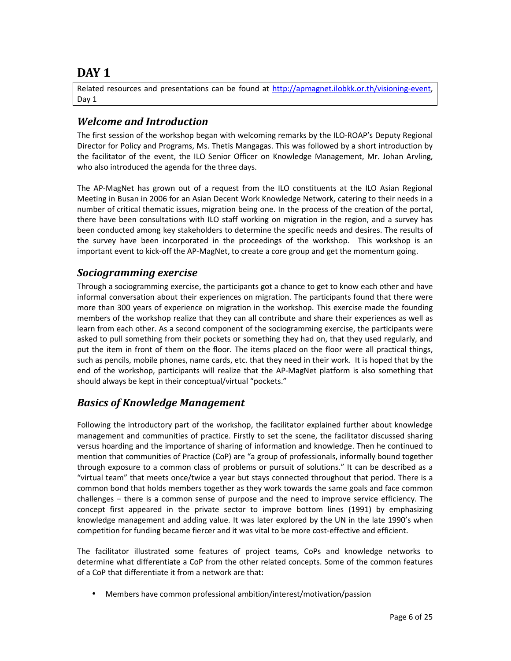## DAY<sub>1</sub>

Related resources and presentations can be found at http://apmagnet.ilobkk.or.th/visioning-event, Day 1

## Welcome and Introduction

The first session of the workshop began with welcoming remarks by the ILO-ROAP's Deputy Regional Director for Policy and Programs, Ms. Thetis Mangagas. This was followed by a short introduction by the facilitator of the event, the ILO Senior Officer on Knowledge Management, Mr. Johan Arvling, who also introduced the agenda for the three days.

The AP-MagNet has grown out of a request from the ILO constituents at the ILO Asian Regional Meeting in Busan in 2006 for an Asian Decent Work Knowledge Network, catering to their needs in a number of critical thematic issues, migration being one. In the process of the creation of the portal, there have been consultations with ILO staff working on migration in the region, and a survey has been conducted among key stakeholders to determine the specific needs and desires. The results of the survey have been incorporated in the proceedings of the workshop. This workshop is an important event to kick-off the AP-MagNet, to create a core group and get the momentum going.

## Sociogramming exercise

Through a sociogramming exercise, the participants got a chance to get to know each other and have informal conversation about their experiences on migration. The participants found that there were more than 300 years of experience on migration in the workshop. This exercise made the founding members of the workshop realize that they can all contribute and share their experiences as well as learn from each other. As a second component of the sociogramming exercise, the participants were asked to pull something from their pockets or something they had on, that they used regularly, and put the item in front of them on the floor. The items placed on the floor were all practical things, such as pencils, mobile phones, name cards, etc. that they need in their work. It is hoped that by the end of the workshop, participants will realize that the AP-MagNet platform is also something that should always be kept in their conceptual/virtual "pockets."

## Basics of Knowledge Management

Following the introductory part of the workshop, the facilitator explained further about knowledge management and communities of practice. Firstly to set the scene, the facilitator discussed sharing versus hoarding and the importance of sharing of information and knowledge. Then he continued to mention that communities of Practice (CoP) are "a group of professionals, informally bound together through exposure to a common class of problems or pursuit of solutions." It can be described as a "virtual team" that meets once/twice a year but stays connected throughout that period. There is a common bond that holds members together as they work towards the same goals and face common challenges – there is a common sense of purpose and the need to improve service efficiency. The concept first appeared in the private sector to improve bottom lines (1991) by emphasizing knowledge management and adding value. It was later explored by the UN in the late 1990's when competition for funding became fiercer and it was vital to be more cost-effective and efficient.

The facilitator illustrated some features of project teams, CoPs and knowledge networks to determine what differentiate a CoP from the other related concepts. Some of the common features of a CoP that differentiate it from a network are that:

• Members have common professional ambition/interest/motivation/passion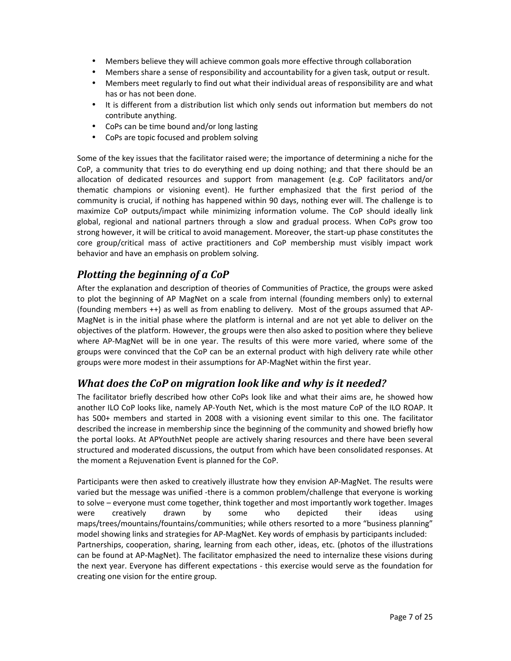- Members believe they will achieve common goals more effective through collaboration
- Members share a sense of responsibility and accountability for a given task, output or result.
- Members meet regularly to find out what their individual areas of responsibility are and what has or has not been done.
- It is different from a distribution list which only sends out information but members do not contribute anything.
- CoPs can be time bound and/or long lasting
- CoPs are topic focused and problem solving

Some of the key issues that the facilitator raised were; the importance of determining a niche for the CoP, a community that tries to do everything end up doing nothing; and that there should be an allocation of dedicated resources and support from management (e.g. CoP facilitators and/or thematic champions or visioning event). He further emphasized that the first period of the community is crucial, if nothing has happened within 90 days, nothing ever will. The challenge is to maximize CoP outputs/impact while minimizing information volume. The CoP should ideally link global, regional and national partners through a slow and gradual process. When CoPs grow too strong however, it will be critical to avoid management. Moreover, the start-up phase constitutes the core group/critical mass of active practitioners and CoP membership must visibly impact work behavior and have an emphasis on problem solving.

## Plotting the beginning of a CoP

After the explanation and description of theories of Communities of Practice, the groups were asked to plot the beginning of AP MagNet on a scale from internal (founding members only) to external (founding members ++) as well as from enabling to delivery. Most of the groups assumed that AP-MagNet is in the initial phase where the platform is internal and are not yet able to deliver on the objectives of the platform. However, the groups were then also asked to position where they believe where AP-MagNet will be in one year. The results of this were more varied, where some of the groups were convinced that the CoP can be an external product with high delivery rate while other groups were more modest in their assumptions for AP-MagNet within the first year.

### What does the CoP on migration look like and why is it needed?

The facilitator briefly described how other CoPs look like and what their aims are, he showed how another ILO CoP looks like, namely AP-Youth Net, which is the most mature CoP of the ILO ROAP. It has 500+ members and started in 2008 with a visioning event similar to this one. The facilitator described the increase in membership since the beginning of the community and showed briefly how the portal looks. At APYouthNet people are actively sharing resources and there have been several structured and moderated discussions, the output from which have been consolidated responses. At the moment a Rejuvenation Event is planned for the CoP.

Participants were then asked to creatively illustrate how they envision AP-MagNet. The results were varied but the message was unified -there is a common problem/challenge that everyone is working to solve – everyone must come together, think together and most importantly work together. Images were creatively drawn by some who depicted their ideas using maps/trees/mountains/fountains/communities; while others resorted to a more "business planning" model showing links and strategies for AP-MagNet. Key words of emphasis by participants included: Partnerships, cooperation, sharing, learning from each other, ideas, etc. (photos of the illustrations can be found at AP-MagNet). The facilitator emphasized the need to internalize these visions during the next year. Everyone has different expectations - this exercise would serve as the foundation for creating one vision for the entire group.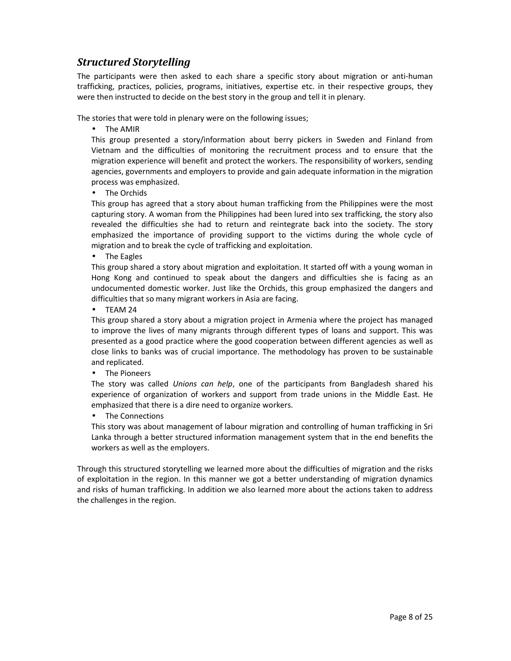## Structured Storytelling

The participants were then asked to each share a specific story about migration or anti-human trafficking, practices, policies, programs, initiatives, expertise etc. in their respective groups, they were then instructed to decide on the best story in the group and tell it in plenary.

The stories that were told in plenary were on the following issues;

• The AMIR

This group presented a story/information about berry pickers in Sweden and Finland from Vietnam and the difficulties of monitoring the recruitment process and to ensure that the migration experience will benefit and protect the workers. The responsibility of workers, sending agencies, governments and employers to provide and gain adequate information in the migration process was emphasized.

• The Orchids

This group has agreed that a story about human trafficking from the Philippines were the most capturing story. A woman from the Philippines had been lured into sex trafficking, the story also revealed the difficulties she had to return and reintegrate back into the society. The story emphasized the importance of providing support to the victims during the whole cycle of migration and to break the cycle of trafficking and exploitation.

• The Eagles

This group shared a story about migration and exploitation. It started off with a young woman in Hong Kong and continued to speak about the dangers and difficulties she is facing as an undocumented domestic worker. Just like the Orchids, this group emphasized the dangers and difficulties that so many migrant workers in Asia are facing.

• TEAM 24

This group shared a story about a migration project in Armenia where the project has managed to improve the lives of many migrants through different types of loans and support. This was presented as a good practice where the good cooperation between different agencies as well as close links to banks was of crucial importance. The methodology has proven to be sustainable and replicated.

• The Pioneers

The story was called Unions can help, one of the participants from Bangladesh shared his experience of organization of workers and support from trade unions in the Middle East. He emphasized that there is a dire need to organize workers.

• The Connections

This story was about management of labour migration and controlling of human trafficking in Sri Lanka through a better structured information management system that in the end benefits the workers as well as the employers.

Through this structured storytelling we learned more about the difficulties of migration and the risks of exploitation in the region. In this manner we got a better understanding of migration dynamics and risks of human trafficking. In addition we also learned more about the actions taken to address the challenges in the region.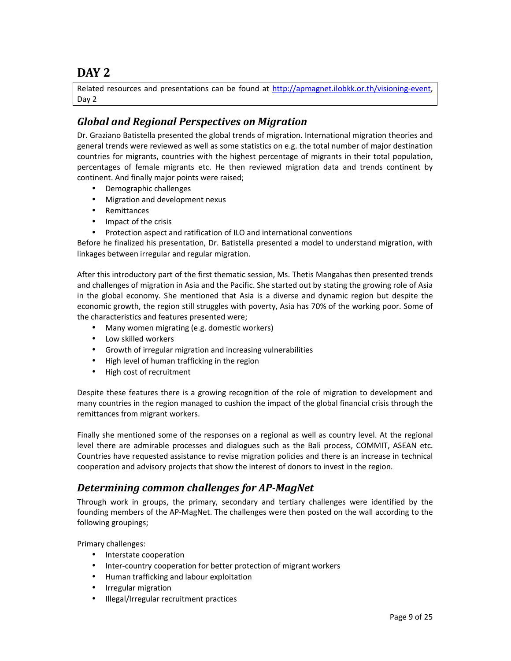## DAY 2

Related resources and presentations can be found at http://apmagnet.ilobkk.or.th/visioning-event, Day 2

## Global and Regional Perspectives on Migration

Dr. Graziano Batistella presented the global trends of migration. International migration theories and general trends were reviewed as well as some statistics on e.g. the total number of major destination countries for migrants, countries with the highest percentage of migrants in their total population, percentages of female migrants etc. He then reviewed migration data and trends continent by continent. And finally major points were raised;

- Demographic challenges
- Migration and development nexus
- Remittances
- Impact of the crisis
- Protection aspect and ratification of ILO and international conventions

Before he finalized his presentation, Dr. Batistella presented a model to understand migration, with linkages between irregular and regular migration.

After this introductory part of the first thematic session, Ms. Thetis Mangahas then presented trends and challenges of migration in Asia and the Pacific. She started out by stating the growing role of Asia in the global economy. She mentioned that Asia is a diverse and dynamic region but despite the economic growth, the region still struggles with poverty, Asia has 70% of the working poor. Some of the characteristics and features presented were;

- Many women migrating (e.g. domestic workers)
- Low skilled workers
- Growth of irregular migration and increasing vulnerabilities
- High level of human trafficking in the region
- High cost of recruitment

Despite these features there is a growing recognition of the role of migration to development and many countries in the region managed to cushion the impact of the global financial crisis through the remittances from migrant workers.

Finally she mentioned some of the responses on a regional as well as country level. At the regional level there are admirable processes and dialogues such as the Bali process, COMMIT, ASEAN etc. Countries have requested assistance to revise migration policies and there is an increase in technical cooperation and advisory projects that show the interest of donors to invest in the region.

## Determining common challenges for AP-MagNet

Through work in groups, the primary, secondary and tertiary challenges were identified by the founding members of the AP-MagNet. The challenges were then posted on the wall according to the following groupings;

Primary challenges:

- Interstate cooperation
- Inter-country cooperation for better protection of migrant workers
- Human trafficking and labour exploitation
- Irregular migration
- Illegal/Irregular recruitment practices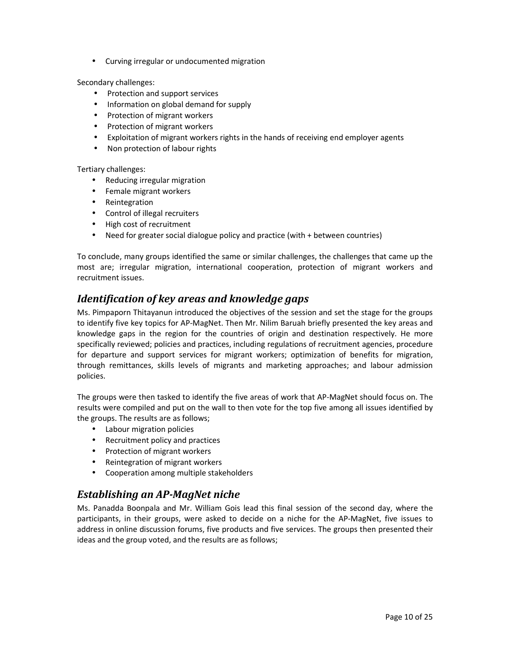• Curving irregular or undocumented migration

Secondary challenges:

- Protection and support services
- Information on global demand for supply
- Protection of migrant workers
- Protection of migrant workers
- Exploitation of migrant workers rights in the hands of receiving end employer agents
- Non protection of labour rights

Tertiary challenges:

- Reducing irregular migration
- Female migrant workers
- Reintegration
- Control of illegal recruiters
- High cost of recruitment
- Need for greater social dialogue policy and practice (with + between countries)

To conclude, many groups identified the same or similar challenges, the challenges that came up the most are; irregular migration, international cooperation, protection of migrant workers and recruitment issues.

## Identification of key areas and knowledge gaps

Ms. Pimpaporn Thitayanun introduced the objectives of the session and set the stage for the groups to identify five key topics for AP-MagNet. Then Mr. Nilim Baruah briefly presented the key areas and knowledge gaps in the region for the countries of origin and destination respectively. He more specifically reviewed; policies and practices, including regulations of recruitment agencies, procedure for departure and support services for migrant workers; optimization of benefits for migration, through remittances, skills levels of migrants and marketing approaches; and labour admission policies.

The groups were then tasked to identify the five areas of work that AP-MagNet should focus on. The results were compiled and put on the wall to then vote for the top five among all issues identified by the groups. The results are as follows;

- Labour migration policies
- Recruitment policy and practices
- Protection of migrant workers
- Reintegration of migrant workers
- Cooperation among multiple stakeholders

## Establishing an AP-MagNet niche

Ms. Panadda Boonpala and Mr. William Gois lead this final session of the second day, where the participants, in their groups, were asked to decide on a niche for the AP-MagNet, five issues to address in online discussion forums, five products and five services. The groups then presented their ideas and the group voted, and the results are as follows;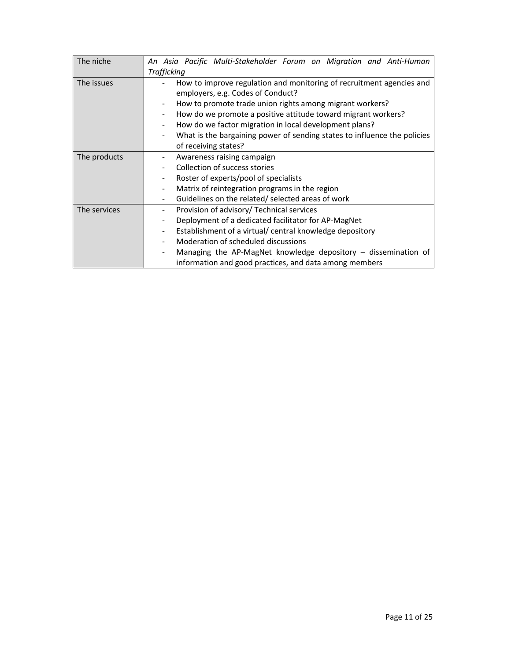| The niche    | An Asia Pacific Multi-Stakeholder Forum on Migration and Anti-Human                |  |  |  |  |  |  |  |  |  |
|--------------|------------------------------------------------------------------------------------|--|--|--|--|--|--|--|--|--|
|              | <b>Trafficking</b>                                                                 |  |  |  |  |  |  |  |  |  |
| The issues   | How to improve regulation and monitoring of recruitment agencies and               |  |  |  |  |  |  |  |  |  |
|              | employers, e.g. Codes of Conduct?                                                  |  |  |  |  |  |  |  |  |  |
|              | How to promote trade union rights among migrant workers?                           |  |  |  |  |  |  |  |  |  |
|              | How do we promote a positive attitude toward migrant workers?                      |  |  |  |  |  |  |  |  |  |
|              | How do we factor migration in local development plans?<br>$\overline{\phantom{0}}$ |  |  |  |  |  |  |  |  |  |
|              | What is the bargaining power of sending states to influence the policies           |  |  |  |  |  |  |  |  |  |
|              | of receiving states?                                                               |  |  |  |  |  |  |  |  |  |
| The products | Awareness raising campaign                                                         |  |  |  |  |  |  |  |  |  |
|              | Collection of success stories                                                      |  |  |  |  |  |  |  |  |  |
|              | Roster of experts/pool of specialists                                              |  |  |  |  |  |  |  |  |  |
|              | Matrix of reintegration programs in the region                                     |  |  |  |  |  |  |  |  |  |
|              | Guidelines on the related/ selected areas of work                                  |  |  |  |  |  |  |  |  |  |
| The services | Provision of advisory/ Technical services<br>-                                     |  |  |  |  |  |  |  |  |  |
|              | Deployment of a dedicated facilitator for AP-MagNet                                |  |  |  |  |  |  |  |  |  |
|              | Establishment of a virtual/ central knowledge depository                           |  |  |  |  |  |  |  |  |  |
|              | Moderation of scheduled discussions                                                |  |  |  |  |  |  |  |  |  |
|              | Managing the AP-MagNet knowledge depository $-$ dissemination of                   |  |  |  |  |  |  |  |  |  |
|              | information and good practices, and data among members                             |  |  |  |  |  |  |  |  |  |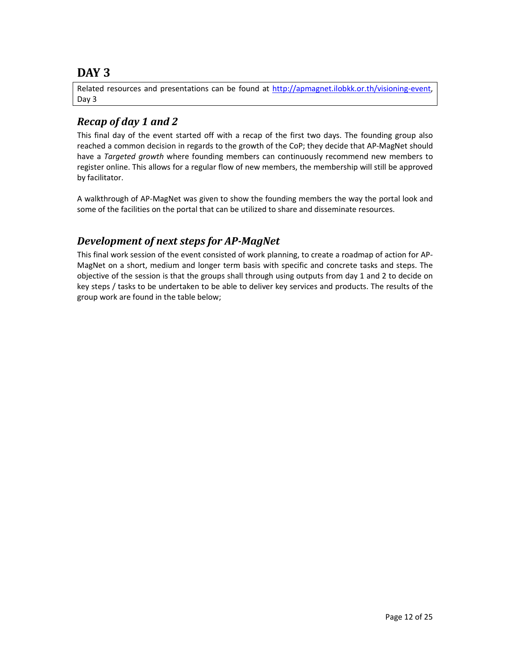## DAY<sub>3</sub>

Related resources and presentations can be found at http://apmagnet.ilobkk.or.th/visioning-event, Day 3

## Recap of day 1 and 2

This final day of the event started off with a recap of the first two days. The founding group also reached a common decision in regards to the growth of the CoP; they decide that AP-MagNet should have a Targeted growth where founding members can continuously recommend new members to register online. This allows for a regular flow of new members, the membership will still be approved by facilitator.

A walkthrough of AP-MagNet was given to show the founding members the way the portal look and some of the facilities on the portal that can be utilized to share and disseminate resources.

## Development of next steps for AP-MagNet

This final work session of the event consisted of work planning, to create a roadmap of action for AP-MagNet on a short, medium and longer term basis with specific and concrete tasks and steps. The objective of the session is that the groups shall through using outputs from day 1 and 2 to decide on key steps / tasks to be undertaken to be able to deliver key services and products. The results of the group work are found in the table below;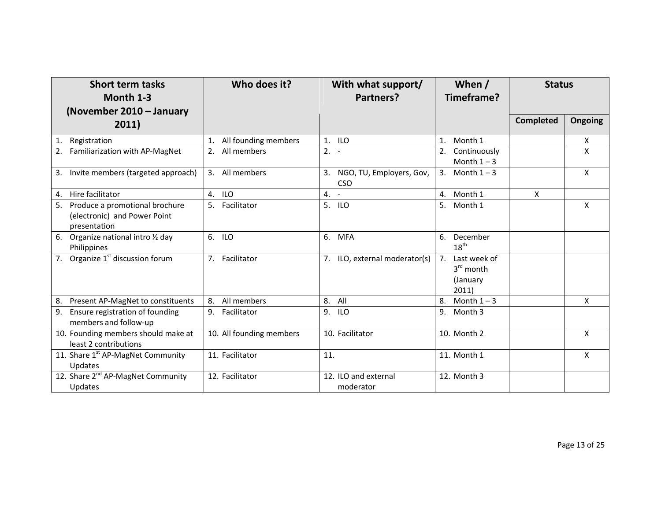| <b>Short term tasks</b><br>Month 1-3                                                 | Who does it?                  | With what support/<br>Timeframe?<br>Partners? |                                                                    | <b>Status</b>    |                           |
|--------------------------------------------------------------------------------------|-------------------------------|-----------------------------------------------|--------------------------------------------------------------------|------------------|---------------------------|
| (November 2010 - January<br>2011)                                                    |                               |                                               |                                                                    | <b>Completed</b> | <b>Ongoing</b>            |
| Registration<br>1.                                                                   | All founding members<br>1.    | 1. ILO                                        | Month 1<br>1.                                                      |                  | X                         |
| Familiarization with AP-MagNet                                                       | All members<br>2.             | $2. -$                                        | Continuously<br>2.<br>Month $1 - 3$                                |                  | X                         |
| Invite members (targeted approach)<br>3.                                             | All members<br>3.             | NGO, TU, Employers, Gov,<br>3.<br><b>CSO</b>  | 3.<br>Month $1 - 3$                                                |                  | $\mathsf{X}$              |
| Hire facilitator<br>4.                                                               | <b>ILO</b><br>4.              | $4. -$                                        | Month 1<br>4.                                                      | $\mathsf{X}$     |                           |
| Produce a promotional brochure<br>5.<br>(electronic) and Power Point<br>presentation | Facilitator<br>5 <sub>1</sub> | 5. ILO                                        | Month 1<br>5.                                                      |                  | $\mathsf{X}$              |
| Organize national intro 1/2 day<br>6.<br>Philippines                                 | 6.<br><b>ILO</b>              | <b>MFA</b><br>6.                              | 6.<br>December<br>$18^{\text{th}}$                                 |                  |                           |
| Organize 1 <sup>st</sup> discussion forum<br>7.                                      | 7.<br>Facilitator             | 7. ILO, external moderator(s)                 | Last week of<br>7 <sub>1</sub><br>$3rd$ month<br>(January<br>2011) |                  |                           |
| Present AP-MagNet to constituents<br>8.                                              | All members<br>8.             | 8. All                                        | Month $1 - 3$<br>8.                                                |                  | X                         |
| 9.<br>Ensure registration of founding<br>members and follow-up                       | 9.<br>Facilitator             | 9.<br><b>ILO</b>                              | Month 3<br>9.                                                      |                  |                           |
| 10. Founding members should make at<br>least 2 contributions                         | 10. All founding members      | 10. Facilitator                               | 10. Month 2                                                        |                  | $\mathsf{x}$              |
| 11. Share 1st AP-MagNet Community<br>Updates                                         | 11. Facilitator               | 11.                                           | 11. Month 1                                                        |                  | $\boldsymbol{\mathsf{X}}$ |
| 12. Share 2 <sup>nd</sup> AP-MagNet Community<br>Updates                             | 12. Facilitator               | 12. ILO and external<br>moderator             | 12. Month 3                                                        |                  |                           |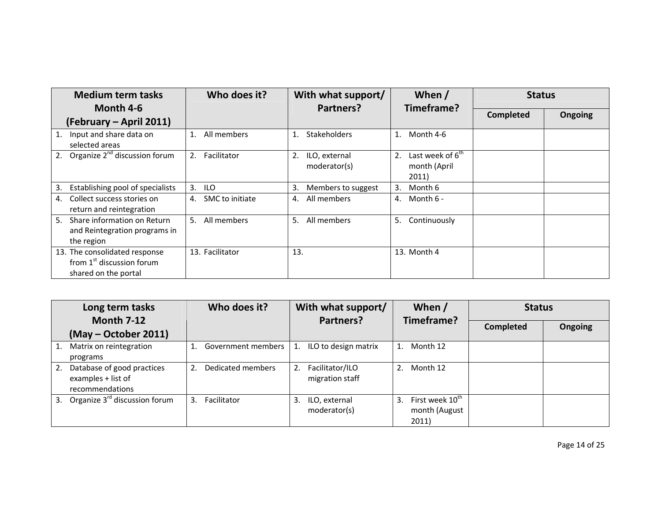| <b>Medium term tasks</b>                                                             | Who does it?          | With what support/                  | When /                                                      | <b>Status</b>    |                |
|--------------------------------------------------------------------------------------|-----------------------|-------------------------------------|-------------------------------------------------------------|------------------|----------------|
| Month 4-6<br>(February – April 2011)                                                 |                       | Partners?                           | Timeframe?                                                  | <b>Completed</b> | <b>Ongoing</b> |
| Input and share data on<br>1.<br>selected areas                                      | All members<br>1.     | <b>Stakeholders</b>                 | Month 4-6<br>1.                                             |                  |                |
| Organize 2 <sup>nd</sup> discussion forum<br>2.                                      | Facilitator<br>2.     | 2.<br>ILO, external<br>moderator(s) | Last week of 6 <sup>th</sup><br>2.<br>month (April<br>2011) |                  |                |
| Establishing pool of specialists<br>3.                                               | <b>ILO</b><br>3.      | 3.<br>Members to suggest            | Month 6<br>3.                                               |                  |                |
| Collect success stories on<br>4.<br>return and reintegration                         | SMC to initiate<br>4. | All members<br>4.                   | Month $6 -$<br>4.                                           |                  |                |
| Share information on Return<br>5.<br>and Reintegration programs in<br>the region     | All members<br>5.     | All members<br>5.                   | 5.<br>Continuously                                          |                  |                |
| 13. The consolidated response<br>from $1st$ discussion forum<br>shared on the portal | 13. Facilitator       | 13.                                 | 13. Month 4                                                 |                  |                |

|    | Long term tasks                                                     |                | Who does it?       |    | With what support/                 |    | When /                                                | <b>Status</b>    |                |
|----|---------------------------------------------------------------------|----------------|--------------------|----|------------------------------------|----|-------------------------------------------------------|------------------|----------------|
|    | <b>Month 7-12</b>                                                   |                |                    |    | Partners?                          |    | Timeframe?                                            | <b>Completed</b> | <b>Ongoing</b> |
|    | (May – October 2011)                                                |                |                    |    |                                    |    |                                                       |                  |                |
| 1. | Matrix on reintegration<br>programs                                 |                | Government members | 1. | ILO to design matrix               |    | Month 12                                              |                  |                |
| 2. | Database of good practices<br>examples + list of<br>recommendations | 2.             | Dedicated members  | 2. | Facilitator/ILO<br>migration staff |    | Month 12                                              |                  |                |
| 3. | Organize 3 <sup>rd</sup> discussion forum                           | $\mathbf{3}$ . | Facilitator        | 3. | ILO, external<br>moderator(s)      | 3. | First week 10 <sup>th</sup><br>month (August<br>2011) |                  |                |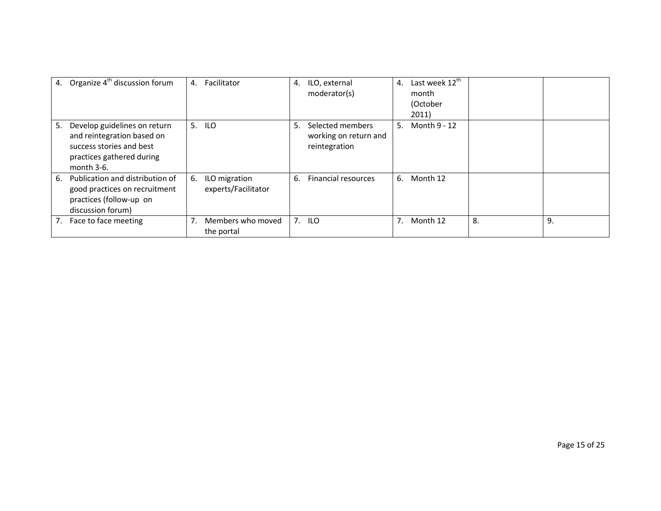|    | 4. Organize 4 <sup>th</sup> discussion forum                                                                                         | 4. | Facilitator                          | 4. | ILO, external<br>moderator(s)                              | 4. | Last week 12 <sup>th</sup><br>month<br>(October<br>2011) |    |    |
|----|--------------------------------------------------------------------------------------------------------------------------------------|----|--------------------------------------|----|------------------------------------------------------------|----|----------------------------------------------------------|----|----|
| 5. | Develop guidelines on return<br>and reintegration based on<br>success stories and best<br>practices gathered during<br>month $3-6$ . | 5. | <b>ILO</b>                           | 5. | Selected members<br>working on return and<br>reintegration | 5. | Month 9 - 12                                             |    |    |
| 6. | Publication and distribution of<br>good practices on recruitment<br>practices (follow-up on<br>discussion forum)                     | 6. | ILO migration<br>experts/Facilitator | 6. | Financial resources                                        | 6. | Month 12                                                 |    |    |
| 7. | Face to face meeting                                                                                                                 | 7. | Members who moved<br>the portal      | 7. | <b>ILO</b>                                                 |    | Month 12                                                 | 8. | 9. |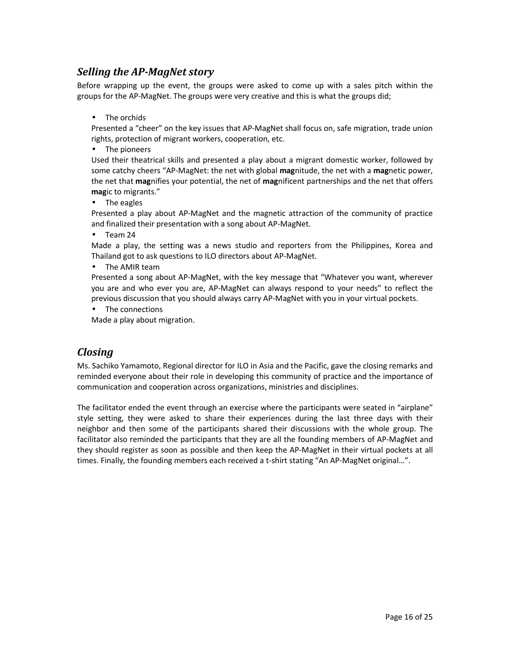### Selling the AP-MagNet story

Before wrapping up the event, the groups were asked to come up with a sales pitch within the groups for the AP-MagNet. The groups were very creative and this is what the groups did;

• The orchids

Presented a "cheer" on the key issues that AP-MagNet shall focus on, safe migration, trade union rights, protection of migrant workers, cooperation, etc.

• The pioneers

Used their theatrical skills and presented a play about a migrant domestic worker, followed by some catchy cheers "AP-MagNet: the net with global magnitude, the net with a magnetic power, the net that magnifies your potential, the net of magnificent partnerships and the net that offers magic to migrants."

• The eagles

Presented a play about AP-MagNet and the magnetic attraction of the community of practice and finalized their presentation with a song about AP-MagNet.

• Team 24

Made a play, the setting was a news studio and reporters from the Philippines, Korea and Thailand got to ask questions to ILO directors about AP-MagNet.

• The AMIR team

Presented a song about AP-MagNet, with the key message that "Whatever you want, wherever you are and who ever you are, AP-MagNet can always respond to your needs" to reflect the previous discussion that you should always carry AP-MagNet with you in your virtual pockets.

• The connections

Made a play about migration.

## **Closing**

Ms. Sachiko Yamamoto, Regional director for ILO in Asia and the Pacific, gave the closing remarks and reminded everyone about their role in developing this community of practice and the importance of communication and cooperation across organizations, ministries and disciplines.

The facilitator ended the event through an exercise where the participants were seated in "airplane" style setting, they were asked to share their experiences during the last three days with their neighbor and then some of the participants shared their discussions with the whole group. The facilitator also reminded the participants that they are all the founding members of AP-MagNet and they should register as soon as possible and then keep the AP-MagNet in their virtual pockets at all times. Finally, the founding members each received a t-shirt stating "An AP-MagNet original…".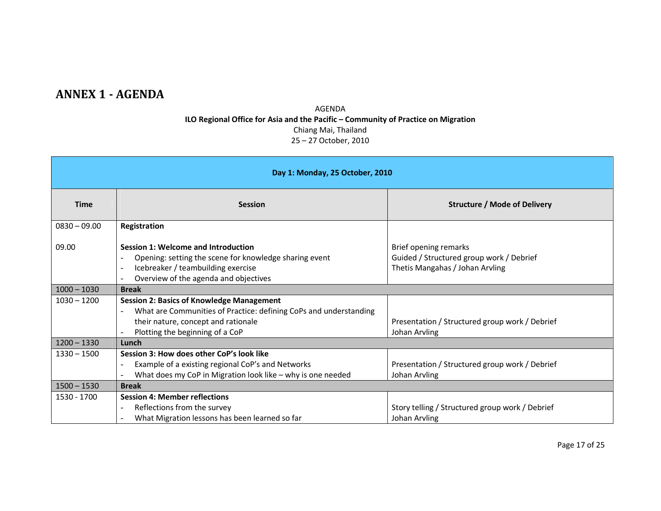## ANNEX 1 - AGENDA

AGENDA ILO Regional Office for Asia and the Pacific – Community of Practice on Migration Chiang Mai, Thailand 25 – 27 October, 2010

| Day 1: Monday, 25 October, 2010 |                                                                                                                                                                                                                   |                                                                                                      |  |  |  |  |  |
|---------------------------------|-------------------------------------------------------------------------------------------------------------------------------------------------------------------------------------------------------------------|------------------------------------------------------------------------------------------------------|--|--|--|--|--|
| <b>Time</b>                     | <b>Session</b>                                                                                                                                                                                                    | <b>Structure / Mode of Delivery</b>                                                                  |  |  |  |  |  |
| $0830 - 09.00$                  | Registration                                                                                                                                                                                                      |                                                                                                      |  |  |  |  |  |
| 09.00                           | Session 1: Welcome and Introduction<br>Opening: setting the scene for knowledge sharing event<br>Icebreaker / teambuilding exercise<br>Overview of the agenda and objectives                                      | Brief opening remarks<br>Guided / Structured group work / Debrief<br>Thetis Mangahas / Johan Arvling |  |  |  |  |  |
| $1000 - 1030$                   | <b>Break</b>                                                                                                                                                                                                      |                                                                                                      |  |  |  |  |  |
| $1030 - 1200$                   | <b>Session 2: Basics of Knowledge Management</b><br>What are Communities of Practice: defining CoPs and understanding<br>$\overline{a}$<br>their nature, concept and rationale<br>Plotting the beginning of a CoP | Presentation / Structured group work / Debrief<br>Johan Arvling                                      |  |  |  |  |  |
| $1200 - 1330$                   | Lunch                                                                                                                                                                                                             |                                                                                                      |  |  |  |  |  |
| $1330 - 1500$                   | Session 3: How does other CoP's look like<br>Example of a existing regional CoP's and Networks<br>$\overline{\phantom{a}}$<br>What does my CoP in Migration look like - why is one needed                         | Presentation / Structured group work / Debrief<br>Johan Arvling                                      |  |  |  |  |  |
| $1500 - 1530$                   | <b>Break</b>                                                                                                                                                                                                      |                                                                                                      |  |  |  |  |  |
| 1530 - 1700                     | <b>Session 4: Member reflections</b><br>Reflections from the survey<br>$\blacksquare$                                                                                                                             | Story telling / Structured group work / Debrief                                                      |  |  |  |  |  |
|                                 | What Migration lessons has been learned so far                                                                                                                                                                    | Johan Arvling                                                                                        |  |  |  |  |  |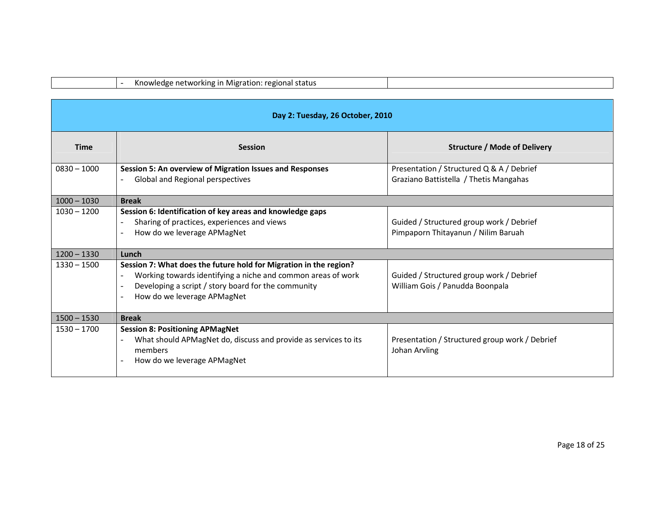|               | Knowledge networking in Migration: regional status                                                                                                                                                                                                  |                                                                                     |
|---------------|-----------------------------------------------------------------------------------------------------------------------------------------------------------------------------------------------------------------------------------------------------|-------------------------------------------------------------------------------------|
|               | Day 2: Tuesday, 26 October, 2010                                                                                                                                                                                                                    |                                                                                     |
| <b>Time</b>   | <b>Session</b>                                                                                                                                                                                                                                      | <b>Structure / Mode of Delivery</b>                                                 |
| $0830 - 1000$ | Session 5: An overview of Migration Issues and Responses<br>Global and Regional perspectives                                                                                                                                                        | Presentation / Structured Q & A / Debrief<br>Graziano Battistella / Thetis Mangahas |
| $1000 - 1030$ | <b>Break</b>                                                                                                                                                                                                                                        |                                                                                     |
| $1030 - 1200$ | Session 6: Identification of key areas and knowledge gaps<br>Sharing of practices, experiences and views<br>How do we leverage APMagNet<br>$\overline{a}$                                                                                           | Guided / Structured group work / Debrief<br>Pimpaporn Thitayanun / Nilim Baruah     |
| $1200 - 1330$ | Lunch                                                                                                                                                                                                                                               |                                                                                     |
| $1330 - 1500$ | Session 7: What does the future hold for Migration in the region?<br>Working towards identifying a niche and common areas of work<br>Developing a script / story board for the community<br>How do we leverage APMagNet<br>$\overline{\phantom{0}}$ | Guided / Structured group work / Debrief<br>William Gois / Panudda Boonpala         |
| $1500 - 1530$ | <b>Break</b>                                                                                                                                                                                                                                        |                                                                                     |
| $1530 - 1700$ | <b>Session 8: Positioning APMagNet</b><br>What should APMagNet do, discuss and provide as services to its<br>members<br>How do we leverage APMagNet                                                                                                 | Presentation / Structured group work / Debrief<br>Johan Arvling                     |
|               |                                                                                                                                                                                                                                                     |                                                                                     |
|               |                                                                                                                                                                                                                                                     |                                                                                     |
|               |                                                                                                                                                                                                                                                     | Page 18 of 25                                                                       |

Г

┑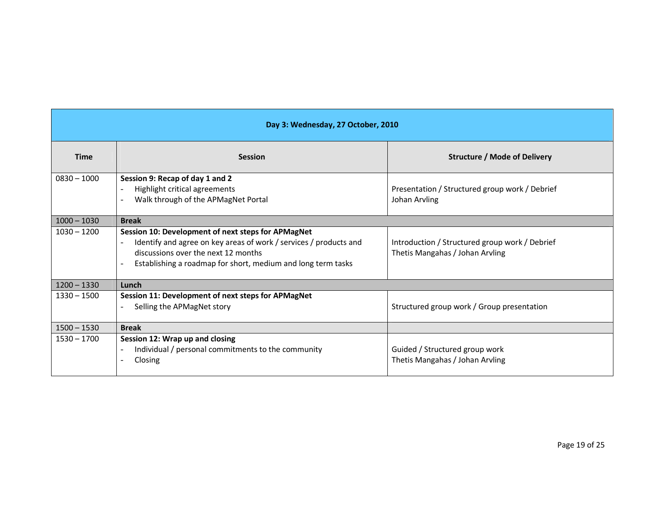| Day 3: Wednesday, 27 October, 2010 |                                                                                                                                                                                                                                                                    |                                                                                   |  |  |  |  |
|------------------------------------|--------------------------------------------------------------------------------------------------------------------------------------------------------------------------------------------------------------------------------------------------------------------|-----------------------------------------------------------------------------------|--|--|--|--|
| <b>Time</b>                        | <b>Session</b>                                                                                                                                                                                                                                                     | <b>Structure / Mode of Delivery</b>                                               |  |  |  |  |
| $0830 - 1000$                      | Session 9: Recap of day 1 and 2<br>Highlight critical agreements<br>Walk through of the APMagNet Portal                                                                                                                                                            | Presentation / Structured group work / Debrief<br>Johan Arvling                   |  |  |  |  |
| $1000 - 1030$                      | <b>Break</b>                                                                                                                                                                                                                                                       |                                                                                   |  |  |  |  |
| $1030 - 1200$                      | Session 10: Development of next steps for APMagNet<br>Identify and agree on key areas of work / services / products and<br>$\blacksquare$<br>discussions over the next 12 months<br>Establishing a roadmap for short, medium and long term tasks<br>$\blacksquare$ | Introduction / Structured group work / Debrief<br>Thetis Mangahas / Johan Arvling |  |  |  |  |
| $1200 - 1330$                      | Lunch                                                                                                                                                                                                                                                              |                                                                                   |  |  |  |  |
| $1330 - 1500$                      | Session 11: Development of next steps for APMagNet<br>Selling the APMagNet story<br>$\overline{a}$                                                                                                                                                                 | Structured group work / Group presentation                                        |  |  |  |  |
| $1500 - 1530$                      | <b>Break</b>                                                                                                                                                                                                                                                       |                                                                                   |  |  |  |  |
| $1530 - 1700$                      | Session 12: Wrap up and closing<br>Individual / personal commitments to the community<br>Closing                                                                                                                                                                   | Guided / Structured group work<br>Thetis Mangahas / Johan Arvling                 |  |  |  |  |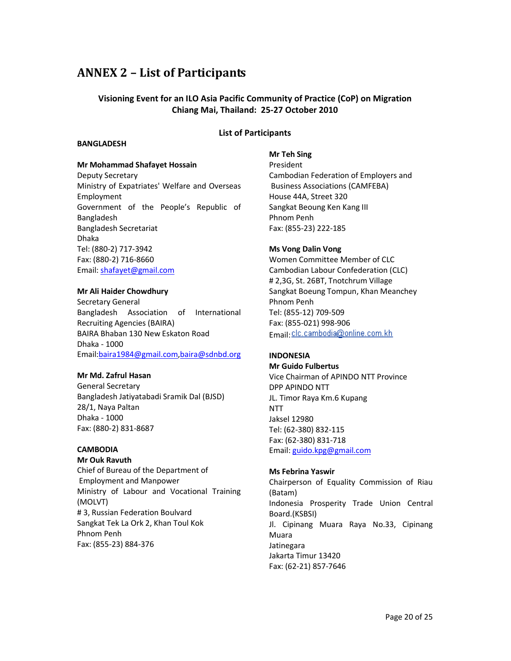## ANNEX 2 – List of Participants

#### Visioning Event for an ILO Asia Pacific Community of Practice (CoP) on Migration Chiang Mai, Thailand: 25-27 October 2010

#### List of Participants

#### BANGLADESH

### Mr Mohammad Shafayet Hossain

Deputy Secretary Ministry of Expatriates' Welfare and Overseas Employment Government of the People's Republic of Bangladesh Bangladesh Secretariat Dhaka Tel: (880-2) 717-3942 Fax: (880-2) 716-8660 Email: shafayet@gmail.com

#### Mr Ali Haider Chowdhury

Secretary General Bangladesh Association of International Recruiting Agencies (BAIRA) BAIRA Bhaban 130 New Eskaton Road Dhaka - 1000 Email:baira1984@gmail.com,baira@sdnbd.org

#### Mr Md. Zafrul Hasan

General Secretary Bangladesh Jatiyatabadi Sramik Dal (BJSD) 28/1, Naya Paltan Dhaka - 1000 Fax: (880-2) 831-8687

#### **CAMBODIA**

Mr Ouk Ravuth Chief of Bureau of the Department of Employment and Manpower Ministry of Labour and Vocational Training (MOLVT) # 3, Russian Federation Boulvard Sangkat Tek La Ork 2, Khan Toul Kok Phnom Penh Fax: (855-23) 884-376

#### Mr Teh Sing

President Cambodian Federation of Employers and Business Associations (CAMFEBA) House 44A, Street 320 Sangkat Beoung Ken Kang III Phnom Penh Fax: (855-23) 222-185

#### Ms Vong Dalin Vong

Women Committee Member of CLC Cambodian Labour Confederation (CLC) # 2,3G, St. 26BT, Tnotchrum Village Sangkat Boeung Tompun, Khan Meanchey Phnom Penh Tel: (855-12) 709-509 Fax: (855-021) 998-906 Email: clc.cambodia@online.com.kh

#### INDONESIA

#### Mr Guido Fulbertus

Vice Chairman of APINDO NTT Province DPP APINDO NTT JL. Timor Raya Km.6 Kupang **NTT** Jaksel 12980 Tel: (62-380) 832-115 Fax: (62-380) 831-718 Email: guido.kpg@gmail.com

#### Ms Febrina Yaswir

Chairperson of Equality Commission of Riau (Batam) Indonesia Prosperity Trade Union Central Board.(KSBSI) Jl. Cipinang Muara Raya No.33, Cipinang Muara Jatinegara Jakarta Timur 13420 Fax: (62-21) 857-7646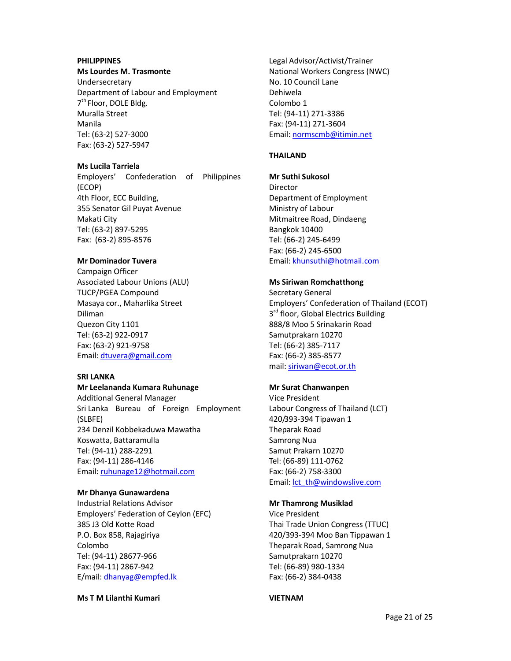#### PHILIPPINES

#### Ms Lourdes M. Trasmonte

Undersecretary Department of Labour and Employment 7<sup>th</sup> Floor, DOLE Bldg. Muralla Street Manila Tel: (63-2) 527-3000 Fax: (63-2) 527-5947

#### Ms Lucila Tarriela

Employers' Confederation of Philippines (ECOP) 4th Floor, ECC Building, 355 Senator Gil Puyat Avenue Makati City Tel: (63-2) 897-5295 Fax: (63-2) 895-8576

#### Mr Dominador Tuvera

Campaign Officer Associated Labour Unions (ALU) TUCP/PGEA Compound Masaya cor., Maharlika Street Diliman Quezon City 1101 Tel: (63-2) 922-0917 Fax: (63-2) 921-9758 Email: dtuvera@gmail.com

#### SRI LANKA

#### Mr Leelananda Kumara Ruhunage

Additional General Manager Sri Lanka Bureau of Foreign Employment (SLBFE) 234 Denzil Kobbekaduwa Mawatha Koswatta, Battaramulla Tel: (94-11) 288-2291 Fax: (94-11) 286-4146 Email: ruhunage12@hotmail.com

#### Mr Dhanya Gunawardena

Industrial Relations Advisor Employers' Federation of Ceylon (EFC) 385 J3 Old Kotte Road P.O. Box 858, Rajagiriya Colombo Tel: (94-11) 28677-966 Fax: (94-11) 2867-942 E/mail: dhanyag@empfed.lk

#### Ms T M Lilanthi Kumari

Legal Advisor/Activist/Trainer National Workers Congress (NWC) No. 10 Council Lane Dehiwela Colombo 1 Tel: (94-11) 271-3386 Fax: (94-11) 271-3604 Email: normscmb@itimin.net

#### THAILAND

#### Mr Suthi Sukosol

Director Department of Employment Ministry of Labour Mitmaitree Road, Dindaeng Bangkok 10400 Tel: (66-2) 245-6499 Fax: (66-2) 245-6500 Email: khunsuthi@hotmail.com

#### Ms Siriwan Romchatthong

Secretary General Employers' Confederation of Thailand (ECOT) 3<sup>rd</sup> floor, Global Electrics Building 888/8 Moo 5 Srinakarin Road Samutprakarn 10270 Tel: (66-2) 385-7117 Fax: (66-2) 385-8577 mail: siriwan@ecot.or.th

#### Mr Surat Chanwanpen

Vice President Labour Congress of Thailand (LCT) 420/393-394 Tipawan 1 Theparak Road Samrong Nua Samut Prakarn 10270 Tel: (66-89) 111-0762 Fax: (66-2) 758-3300 Email: lct\_th@windowslive.com

#### Mr Thamrong Musiklad

Vice President Thai Trade Union Congress (TTUC) 420/393-394 Moo Ban Tippawan 1 Theparak Road, Samrong Nua Samutprakarn 10270 Tel: (66-89) 980-1334 Fax: (66-2) 384-0438

#### VIETNAM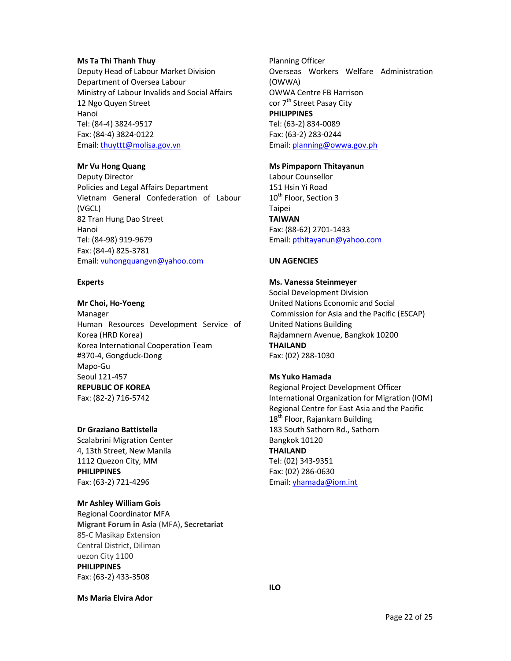#### Ms Ta Thi Thanh Thuy

Deputy Head of Labour Market Division Department of Oversea Labour Ministry of Labour Invalids and Social Affairs 12 Ngo Quyen Street Hanoi Tel: (84-4) 3824-9517 Fax: (84-4) 3824-0122 Email: thuyttt@molisa.gov.vn

#### Mr Vu Hong Quang

Deputy Director Policies and Legal Affairs Department Vietnam General Confederation of Labour (VGCL) 82 Tran Hung Dao Street Hanoi Tel: (84-98) 919-9679 Fax: (84-4) 825-3781 Email: vuhongquangvn@yahoo.com

#### Experts

### Mr Choi, Ho-Yoeng

Manager Human Resources Development Service of Korea (HRD Korea) Korea International Cooperation Team #370-4, Gongduck-Dong Mapo-Gu Seoul 121-457 REPUBLIC OF KOREA Fax: (82-2) 716-5742

#### Dr Graziano Battistella

Scalabrini Migration Center 4, 13th Street, New Manila 1112 Quezon City, MM PHILIPPINES Fax: (63-2) 721-4296

#### Mr Ashley William Gois

Regional Coordinator MFA Migrant Forum in Asia (MFA), Secretariat 85-C Masikap Extension Central District, Diliman uezon City 1100 PHILIPPINES Fax: (63-2) 433-3508

Ms Maria Elvira Ador

Planning Officer Overseas Workers Welfare Administration (OWWA) OWWA Centre FB Harrison cor 7<sup>th</sup> Street Pasay City PHILIPPINES Tel: (63-2) 834-0089 Fax: (63-2) 283-0244 Email: planning@owwa.gov.ph

#### Ms Pimpaporn Thitayanun

Labour Counsellor 151 Hsin Yi Road 10<sup>th</sup> Floor, Section 3 Taipei TAIWAN Fax: (88-62) 2701-1433 Email: pthitayanun@yahoo.com

#### UN AGENCIES

#### Ms. Vanessa Steinmeyer

Social Development Division United Nations Economic and Social Commission for Asia and the Pacific (ESCAP) United Nations Building Rajdamnern Avenue, Bangkok 10200 THAILAND Fax: (02) 288-1030

#### Ms Yuko Hamada

Regional Project Development Officer International Organization for Migration (IOM) Regional Centre for East Asia and the Pacific 18<sup>th</sup> Floor, Rajankarn Building 183 South Sathorn Rd., Sathorn Bangkok 10120 THAILAND Tel: (02) 343-9351 Fax: (02) 286-0630 Email: yhamada@iom.int

ILO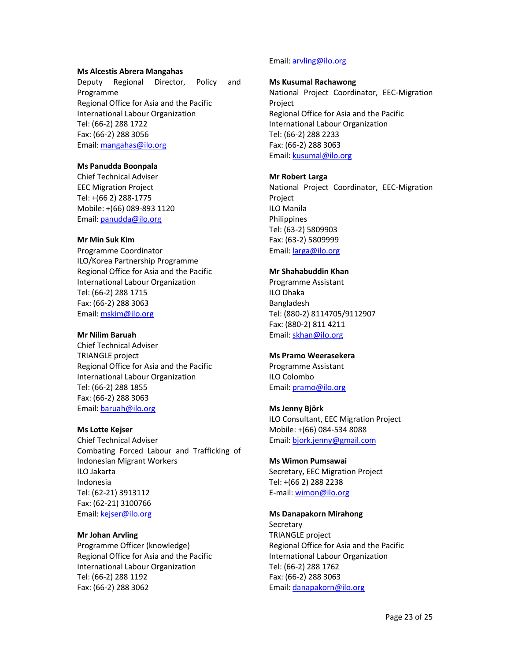#### Ms Alcestis Abrera Mangahas

Deputy Regional Director, Policy and Programme Regional Office for Asia and the Pacific International Labour Organization Tel: (66-2) 288 1722 Fax: (66-2) 288 3056 Email: mangahas@ilo.org

#### Ms Panudda Boonpala

Chief Technical Adviser EEC Migration Project Tel: +(66 2) 288-1775 Mobile: +(66) 089-893 1120 Email: panudda@ilo.org

#### Mr Min Suk Kim

Programme Coordinator ILO/Korea Partnership Programme Regional Office for Asia and the Pacific International Labour Organization Tel: (66-2) 288 1715 Fax: (66-2) 288 3063 Email: mskim@ilo.org

#### Mr Nilim Baruah

Chief Technical Adviser TRIANGLE project Regional Office for Asia and the Pacific International Labour Organization Tel: (66-2) 288 1855 Fax: (66-2) 288 3063 Email: baruah@ilo.org

#### Ms Lotte Kejser

Chief Technical Adviser Combating Forced Labour and Trafficking of Indonesian Migrant Workers ILO Jakarta Indonesia Tel: (62-21) 3913112 Fax: (62-21) 3100766 Email: kejser@ilo.org

#### Mr Johan Arvling

Programme Officer (knowledge) Regional Office for Asia and the Pacific International Labour Organization Tel: (66-2) 288 1192 Fax: (66-2) 288 3062

#### Email: arvling@ilo.org

#### Ms Kusumal Rachawong

National Project Coordinator, EEC-Migration Project Regional Office for Asia and the Pacific International Labour Organization Tel: (66-2) 288 2233 Fax: (66-2) 288 3063 Email: kusumal@ilo.org

#### Mr Robert Larga

National Project Coordinator, EEC-Migration Project ILO Manila **Philippines** Tel: (63-2) 5809903 Fax: (63-2) 5809999 Email: larga@ilo.org

#### Mr Shahabuddin Khan

Programme Assistant ILO Dhaka Bangladesh Tel: (880-2) 8114705/9112907 Fax: (880-2) 811 4211 Email: skhan@ilo.org

#### Ms Pramo Weerasekera

Programme Assistant ILO Colombo Email: pramo@ilo.org

#### Ms Jenny Björk

ILO Consultant, EEC Migration Project Mobile: +(66) 084-534 8088 Email: bjork.jenny@gmail.com

#### Ms Wimon Pumsawai

Secretary, EEC Migration Project Tel: +(66 2) 288 2238 E-mail: wimon@ilo.org

#### Ms Danapakorn Mirahong

**Secretary** TRIANGLE project Regional Office for Asia and the Pacific International Labour Organization Tel: (66-2) 288 1762 Fax: (66-2) 288 3063 Email: danapakorn@ilo.org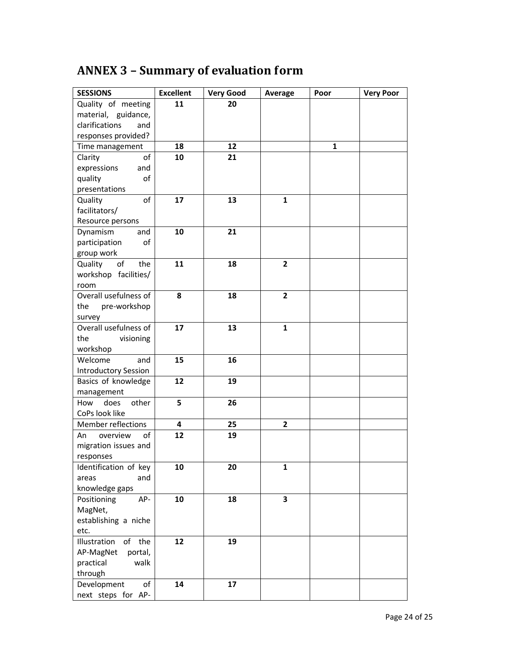# ANNEX 3 – Summary of evaluation form

| <b>SESSIONS</b>             | <b>Excellent</b> | <b>Very Good</b> | Average        | Poor | <b>Very Poor</b> |
|-----------------------------|------------------|------------------|----------------|------|------------------|
| Quality of meeting          | 11               | 20               |                |      |                  |
| material, guidance,         |                  |                  |                |      |                  |
| clarifications<br>and       |                  |                  |                |      |                  |
| responses provided?         |                  |                  |                |      |                  |
| Time management             | 18               | 12               |                | 1    |                  |
| Clarity<br>of               | 10               | 21               |                |      |                  |
| expressions<br>and          |                  |                  |                |      |                  |
| quality<br>of               |                  |                  |                |      |                  |
| presentations               |                  |                  |                |      |                  |
| Quality<br>of               | 17               | 13               | $\mathbf{1}$   |      |                  |
| facilitators/               |                  |                  |                |      |                  |
| Resource persons            |                  |                  |                |      |                  |
| Dynamism<br>and             | 10               | 21               |                |      |                  |
| participation<br>οf         |                  |                  |                |      |                  |
| group work                  |                  |                  |                |      |                  |
| Quality<br>of<br>the        | 11               | 18               | $\mathbf{2}$   |      |                  |
| workshop facilities/        |                  |                  |                |      |                  |
| room                        |                  |                  |                |      |                  |
| Overall usefulness of       | 8                | 18               | $\overline{2}$ |      |                  |
| pre-workshop<br>the         |                  |                  |                |      |                  |
| survey                      |                  |                  |                |      |                  |
| Overall usefulness of       | 17               | 13               | $\mathbf{1}$   |      |                  |
| the<br>visioning            |                  |                  |                |      |                  |
| workshop                    |                  |                  |                |      |                  |
| Welcome<br>and              | 15               | 16               |                |      |                  |
| <b>Introductory Session</b> |                  |                  |                |      |                  |
| Basics of knowledge         | 12               | 19               |                |      |                  |
| management                  |                  |                  |                |      |                  |
| does<br>other<br>How        | 5                | 26               |                |      |                  |
| CoPs look like              |                  |                  |                |      |                  |
| Member reflections          | 4                | 25               | $\mathbf{2}$   |      |                  |
| overview<br>of<br>An        | 12               | 19               |                |      |                  |
| migration issues and        |                  |                  |                |      |                  |
| responses                   |                  |                  |                |      |                  |
| Identification of key       | 10               | 20               | 1              |      |                  |
| areas<br>and                |                  |                  |                |      |                  |
| knowledge gaps              |                  |                  |                |      |                  |
| Positioning<br>AP-          | 10               | 18               | 3              |      |                  |
| MagNet,                     |                  |                  |                |      |                  |
| establishing a niche        |                  |                  |                |      |                  |
| etc.                        |                  |                  |                |      |                  |
| Illustration<br>of<br>the   | 12               | 19               |                |      |                  |
| AP-MagNet<br>portal,        |                  |                  |                |      |                  |
| practical<br>walk           |                  |                  |                |      |                  |
| through                     |                  |                  |                |      |                  |
| Development<br>оf           | 14               | 17               |                |      |                  |
| next steps for AP-          |                  |                  |                |      |                  |